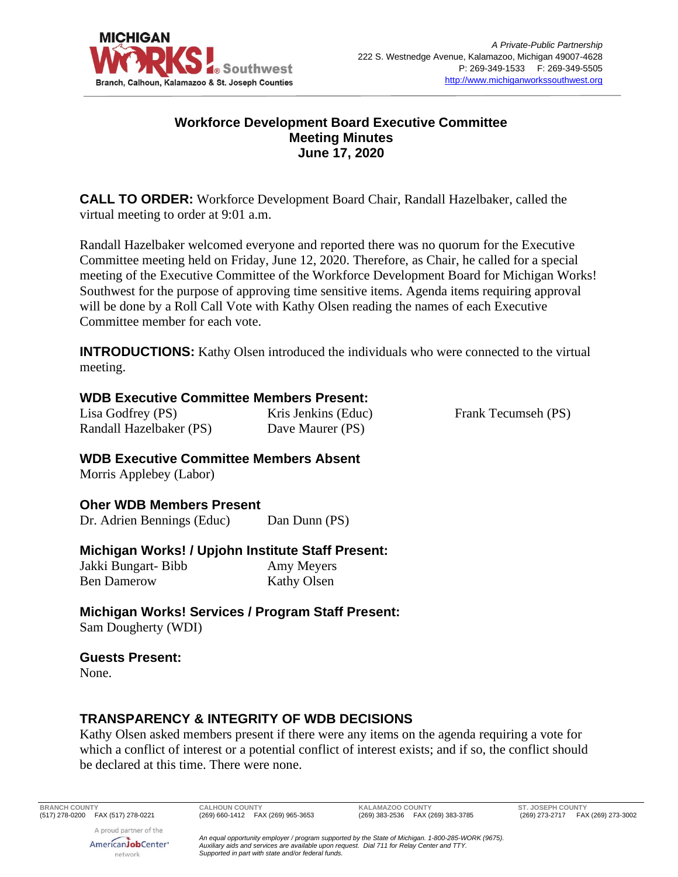

### **Workforce Development Board Executive Committee Meeting Minutes June 17, 2020**

**CALL TO ORDER:** Workforce Development Board Chair, Randall Hazelbaker, called the virtual meeting to order at 9:01 a.m.

Randall Hazelbaker welcomed everyone and reported there was no quorum for the Executive Committee meeting held on Friday, June 12, 2020. Therefore, as Chair, he called for a special meeting of the Executive Committee of the Workforce Development Board for Michigan Works! Southwest for the purpose of approving time sensitive items. Agenda items requiring approval will be done by a Roll Call Vote with Kathy Olsen reading the names of each Executive Committee member for each vote.

**INTRODUCTIONS:** Kathy Olsen introduced the individuals who were connected to the virtual meeting.

#### **WDB Executive Committee Members Present:**

Lisa Godfrey (PS) Randall Hazelbaker (PS) Kris Jenkins (Educ) Dave Maurer (PS)

Frank Tecumseh (PS)

**WDB Executive Committee Members Absent** Morris Applebey (Labor)

**Oher WDB Members Present**

Dr. Adrien Bennings (Educ) Dan Dunn (PS)

#### **Michigan Works! / Upjohn Institute Staff Present:**

Jakki Bungart- Bibb Ben Damerow Amy Meyers Kathy Olsen

**Michigan Works! Services / Program Staff Present:** Sam Dougherty (WDI)

#### **Guests Present:**

None.

# **TRANSPARENCY & INTEGRITY OF WDB DECISIONS**

Kathy Olsen asked members present if there were any items on the agenda requiring a vote for which a conflict of interest or a potential conflict of interest exists; and if so, the conflict should be declared at this time. There were none.

**BRANCH COUNTY CALHOUN COUNTY KALAMAZOO COUNTY ST. JOSEPH COUNTY**

(269) 273-2717 FAX (269) 273-3002

A proud partner of the AmericanJobCenter<sup>®</sup> network

*An equal opportunity employer / program supported by the State of Michigan. 1-800-285-WORK (9675). Auxiliary aids and services are available upon request. Dial 711 for Relay Center and TTY. Supported in part with state and/or federal funds.*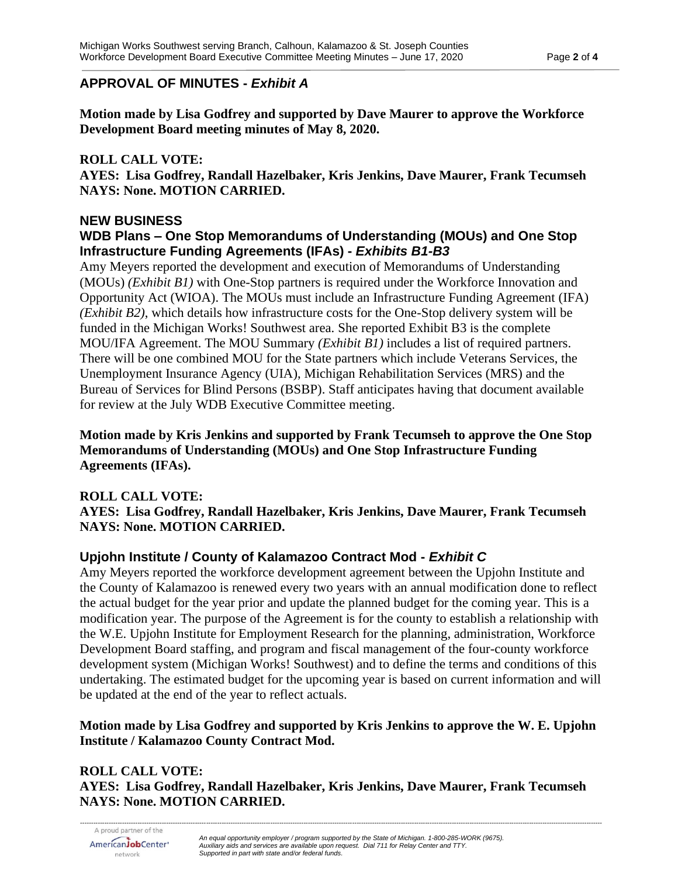### **APPROVAL OF MINUTES -** *Exhibit A*

**Motion made by Lisa Godfrey and supported by Dave Maurer to approve the Workforce Development Board meeting minutes of May 8, 2020.**

### **ROLL CALL VOTE:**

**AYES: Lisa Godfrey, Randall Hazelbaker, Kris Jenkins, Dave Maurer, Frank Tecumseh NAYS: None. MOTION CARRIED.**

#### **NEW BUSINESS WDB Plans – One Stop Memorandums of Understanding (MOUs) and One Stop Infrastructure Funding Agreements (IFAs) -** *Exhibits B1-B3*

Amy Meyers reported the development and execution of Memorandums of Understanding (MOUs) *(Exhibit B1)* with One-Stop partners is required under the Workforce Innovation and Opportunity Act (WIOA). The MOUs must include an Infrastructure Funding Agreement (IFA) *(Exhibit B2)*, which details how infrastructure costs for the One-Stop delivery system will be funded in the Michigan Works! Southwest area. She reported Exhibit B3 is the complete MOU/IFA Agreement. The MOU Summary *(Exhibit B1)* includes a list of required partners. There will be one combined MOU for the State partners which include Veterans Services, the Unemployment Insurance Agency (UIA), Michigan Rehabilitation Services (MRS) and the Bureau of Services for Blind Persons (BSBP). Staff anticipates having that document available for review at the July WDB Executive Committee meeting.

**Motion made by Kris Jenkins and supported by Frank Tecumseh to approve the One Stop Memorandums of Understanding (MOUs) and One Stop Infrastructure Funding Agreements (IFAs).**

#### **ROLL CALL VOTE:**

**AYES: Lisa Godfrey, Randall Hazelbaker, Kris Jenkins, Dave Maurer, Frank Tecumseh NAYS: None. MOTION CARRIED.**

# **Upjohn Institute / County of Kalamazoo Contract Mod -** *Exhibit C*

Amy Meyers reported the workforce development agreement between the Upjohn Institute and the County of Kalamazoo is renewed every two years with an annual modification done to reflect the actual budget for the year prior and update the planned budget for the coming year. This is a modification year. The purpose of the Agreement is for the county to establish a relationship with the W.E. Upjohn Institute for Employment Research for the planning, administration, Workforce Development Board staffing, and program and fiscal management of the four-county workforce development system (Michigan Works! Southwest) and to define the terms and conditions of this undertaking. The estimated budget for the upcoming year is based on current information and will be updated at the end of the year to reflect actuals.

#### **Motion made by Lisa Godfrey and supported by Kris Jenkins to approve the W. E. Upjohn Institute / Kalamazoo County Contract Mod.**

**ROLL CALL VOTE: AYES: Lisa Godfrey, Randall Hazelbaker, Kris Jenkins, Dave Maurer, Frank Tecumseh NAYS: None. MOTION CARRIED.**

*--------------------------------------------------------------------------------------------------------------------------------------------------------------------------------------------------------------------------------------------*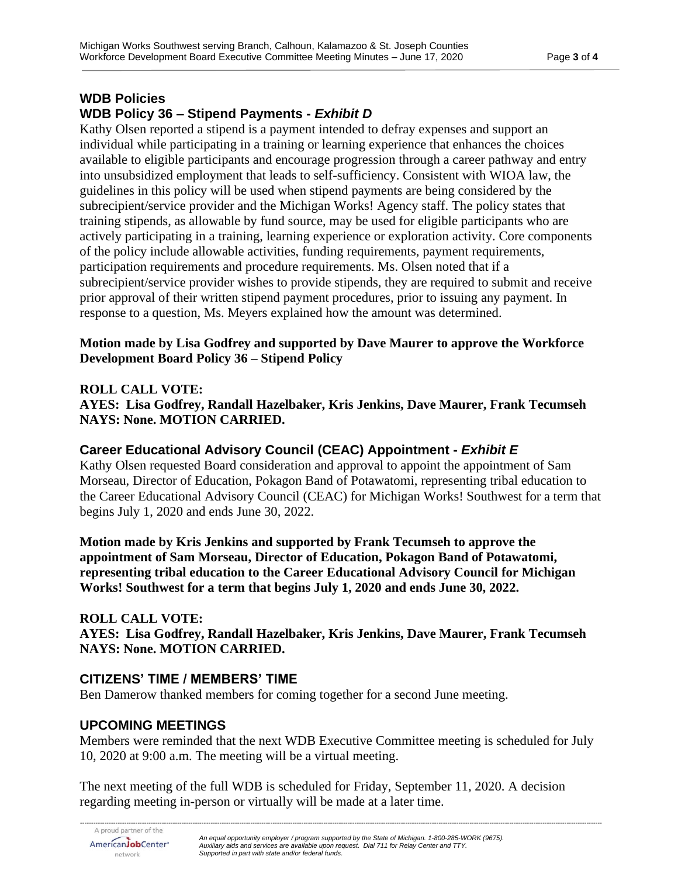# **WDB Policies WDB Policy 36 – Stipend Payments -** *Exhibit D*

Kathy Olsen reported a stipend is a payment intended to defray expenses and support an individual while participating in a training or learning experience that enhances the choices available to eligible participants and encourage progression through a career pathway and entry into unsubsidized employment that leads to self-sufficiency. Consistent with WIOA law, the guidelines in this policy will be used when stipend payments are being considered by the subrecipient/service provider and the Michigan Works! Agency staff. The policy states that training stipends, as allowable by fund source, may be used for eligible participants who are actively participating in a training, learning experience or exploration activity. Core components of the policy include allowable activities, funding requirements, payment requirements, participation requirements and procedure requirements. Ms. Olsen noted that if a subrecipient/service provider wishes to provide stipends, they are required to submit and receive prior approval of their written stipend payment procedures, prior to issuing any payment. In response to a question, Ms. Meyers explained how the amount was determined.

#### **Motion made by Lisa Godfrey and supported by Dave Maurer to approve the Workforce Development Board Policy 36 – Stipend Policy**

#### **ROLL CALL VOTE:**

**AYES: Lisa Godfrey, Randall Hazelbaker, Kris Jenkins, Dave Maurer, Frank Tecumseh NAYS: None. MOTION CARRIED.**

# **Career Educational Advisory Council (CEAC) Appointment -** *Exhibit E*

Kathy Olsen requested Board consideration and approval to appoint the appointment of Sam Morseau, Director of Education, Pokagon Band of Potawatomi, representing tribal education to the Career Educational Advisory Council (CEAC) for Michigan Works! Southwest for a term that begins July 1, 2020 and ends June 30, 2022.

**Motion made by Kris Jenkins and supported by Frank Tecumseh to approve the appointment of Sam Morseau, Director of Education, Pokagon Band of Potawatomi, representing tribal education to the Career Educational Advisory Council for Michigan Works! Southwest for a term that begins July 1, 2020 and ends June 30, 2022.**

#### **ROLL CALL VOTE:**

**AYES: Lisa Godfrey, Randall Hazelbaker, Kris Jenkins, Dave Maurer, Frank Tecumseh NAYS: None. MOTION CARRIED.**

#### **CITIZENS' TIME / MEMBERS' TIME**

Ben Damerow thanked members for coming together for a second June meeting.

#### **UPCOMING MEETINGS**

Members were reminded that the next WDB Executive Committee meeting is scheduled for July 10, 2020 at 9:00 a.m. The meeting will be a virtual meeting.

The next meeting of the full WDB is scheduled for Friday, September 11, 2020. A decision regarding meeting in-person or virtually will be made at a later time.

*--------------------------------------------------------------------------------------------------------------------------------------------------------------------------------------------------------------------------------------------*